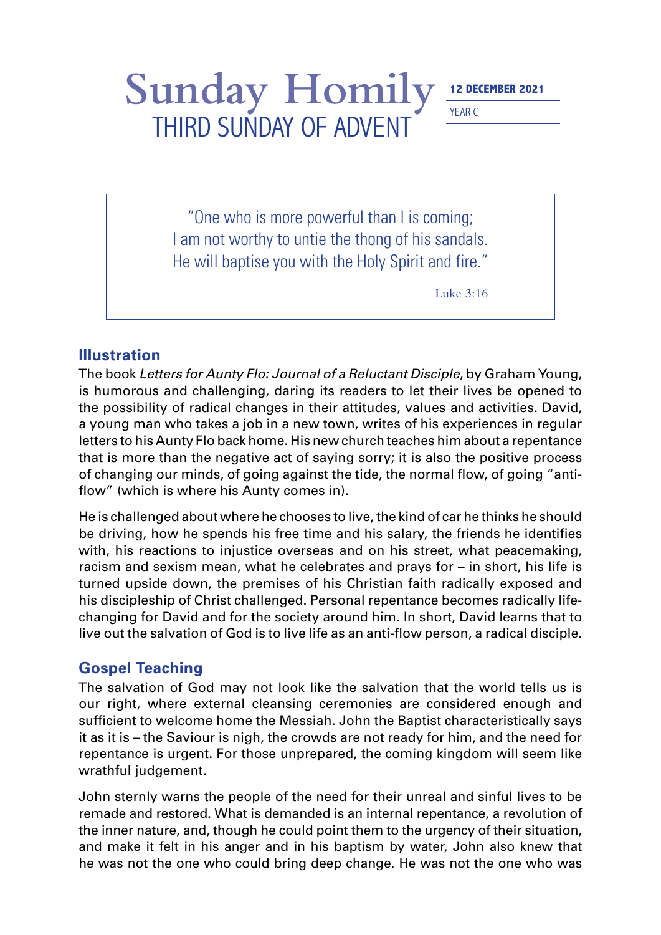## Sunday Homily **12 DECEMBER 2021** THIRD SUNDAY OF ADVENT

YEAR C

"One who is more powerful than I is coming; I am not worthy to untie the thong of his sandals. He will baptise you with the Holy Spirit and fire."

Luke 3:16

## **Illustration**

The book *Letters for Aunty Flo: Journal of a Reluctant Disciple*, by Graham Young, is humorous and challenging, daring its readers to let their lives be opened to the possibility of radical changes in their attitudes, values and activities. David, a young man who takes a job in a new town, writes of his experiences in regular letters to his Aunty Flo back home. His new church teaches him about a repentance that is more than the negative act of saying sorry; it is also the positive process of changing our minds, of going against the tide, the normal flow, of going "antiflow" (which is where his Aunty comes in).

He is challenged about where he chooses to live, the kind of car he thinks he should be driving, how he spends his free time and his salary, the friends he identifies with, his reactions to injustice overseas and on his street, what peacemaking, racism and sexism mean, what he celebrates and prays for – in short, his life is turned upside down, the premises of his Christian faith radically exposed and his discipleship of Christ challenged. Personal repentance becomes radically lifechanging for David and for the society around him. In short, David learns that to live out the salvation of God is to live life as an anti-flow person, a radical disciple.

## **Gospel Teaching**

The salvation of God may not look like the salvation that the world tells us is our right, where external cleansing ceremonies are considered enough and sufficient to welcome home the Messiah. John the Baptist characteristically says it as it is – the Saviour is nigh, the crowds are not ready for him, and the need for repentance is urgent. For those unprepared, the coming kingdom will seem like wrathful judgement.

John sternly warns the people of the need for their unreal and sinful lives to be remade and restored. What is demanded is an internal repentance, a revolution of the inner nature, and, though he could point them to the urgency of their situation, and make it felt in his anger and in his baptism by water, John also knew that he was not the one who could bring deep change. He was not the one who was